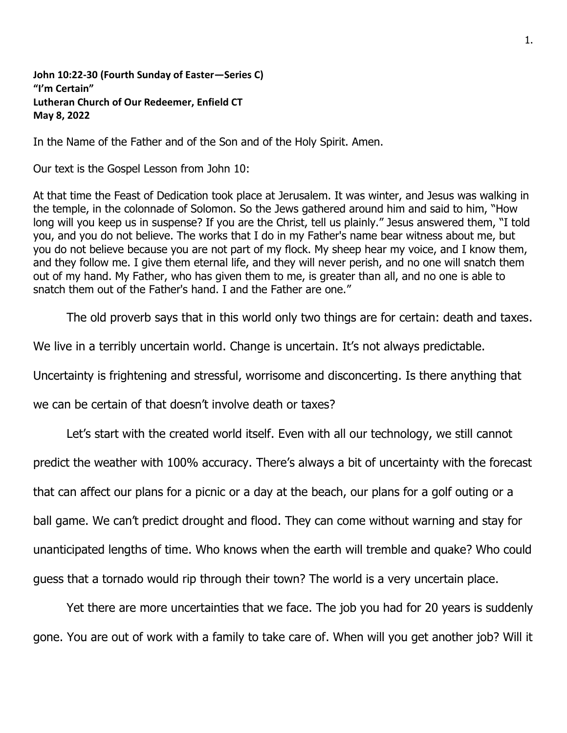**John 10:22-30 (Fourth Sunday of Easter—Series C) "I'm Certain" Lutheran Church of Our Redeemer, Enfield CT May 8, 2022**

In the Name of the Father and of the Son and of the Holy Spirit. Amen.

Our text is the Gospel Lesson from John 10:

At that time the Feast of Dedication took place at Jerusalem. It was winter, and Jesus was walking in the temple, in the colonnade of Solomon. So the Jews gathered around him and said to him, "How long will you keep us in suspense? If you are the Christ, tell us plainly." Jesus answered them, "I told you, and you do not believe. The works that I do in my Father's name bear witness about me, but you do not believe because you are not part of my flock. My sheep hear my voice, and I know them, and they follow me. I give them eternal life, and they will never perish, and no one will snatch them out of my hand. My Father, who has given them to me, is greater than all, and no one is able to snatch them out of the Father's hand. I and the Father are one."

The old proverb says that in this world only two things are for certain: death and taxes.

We live in a terribly uncertain world. Change is uncertain. It's not always predictable.

Uncertainty is frightening and stressful, worrisome and disconcerting. Is there anything that

we can be certain of that doesn't involve death or taxes?

Let's start with the created world itself. Even with all our technology, we still cannot

predict the weather with 100% accuracy. There's always a bit of uncertainty with the forecast

that can affect our plans for a picnic or a day at the beach, our plans for a golf outing or a

ball game. We can't predict drought and flood. They can come without warning and stay for

unanticipated lengths of time. Who knows when the earth will tremble and quake? Who could

guess that a tornado would rip through their town? The world is a very uncertain place.

Yet there are more uncertainties that we face. The job you had for 20 years is suddenly gone. You are out of work with a family to take care of. When will you get another job? Will it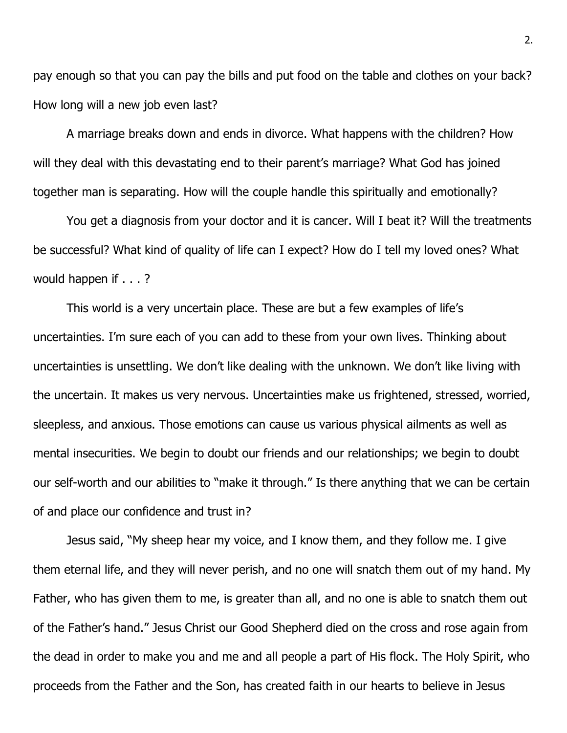pay enough so that you can pay the bills and put food on the table and clothes on your back? How long will a new job even last?

A marriage breaks down and ends in divorce. What happens with the children? How will they deal with this devastating end to their parent's marriage? What God has joined together man is separating. How will the couple handle this spiritually and emotionally?

You get a diagnosis from your doctor and it is cancer. Will I beat it? Will the treatments be successful? What kind of quality of life can I expect? How do I tell my loved ones? What would happen if . . . ?

This world is a very uncertain place. These are but a few examples of life's uncertainties. I'm sure each of you can add to these from your own lives. Thinking about uncertainties is unsettling. We don't like dealing with the unknown. We don't like living with the uncertain. It makes us very nervous. Uncertainties make us frightened, stressed, worried, sleepless, and anxious. Those emotions can cause us various physical ailments as well as mental insecurities. We begin to doubt our friends and our relationships; we begin to doubt our self-worth and our abilities to "make it through." Is there anything that we can be certain of and place our confidence and trust in?

Jesus said, "My sheep hear my voice, and I know them, and they follow me. I give them eternal life, and they will never perish, and no one will snatch them out of my hand. My Father, who has given them to me, is greater than all, and no one is able to snatch them out of the Father's hand." Jesus Christ our Good Shepherd died on the cross and rose again from the dead in order to make you and me and all people a part of His flock. The Holy Spirit, who proceeds from the Father and the Son, has created faith in our hearts to believe in Jesus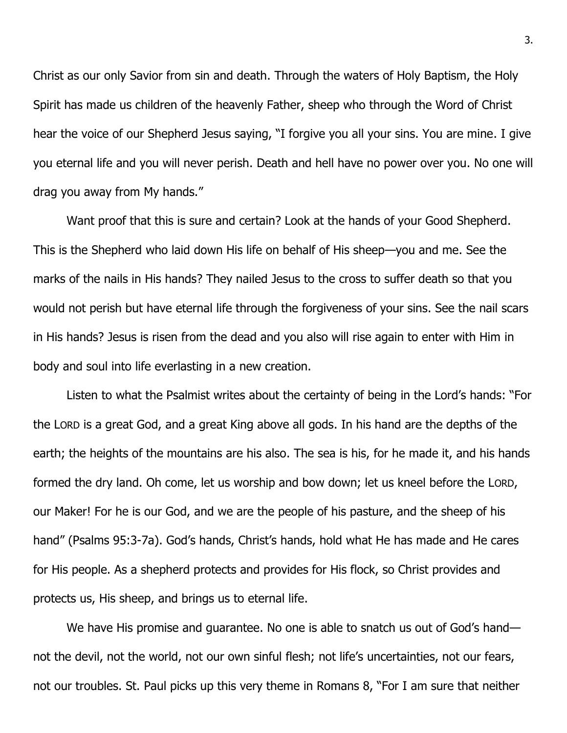Christ as our only Savior from sin and death. Through the waters of Holy Baptism, the Holy Spirit has made us children of the heavenly Father, sheep who through the Word of Christ hear the voice of our Shepherd Jesus saying, "I forgive you all your sins. You are mine. I give you eternal life and you will never perish. Death and hell have no power over you. No one will drag you away from My hands."

Want proof that this is sure and certain? Look at the hands of your Good Shepherd. This is the Shepherd who laid down His life on behalf of His sheep—you and me. See the marks of the nails in His hands? They nailed Jesus to the cross to suffer death so that you would not perish but have eternal life through the forgiveness of your sins. See the nail scars in His hands? Jesus is risen from the dead and you also will rise again to enter with Him in body and soul into life everlasting in a new creation.

Listen to what the Psalmist writes about the certainty of being in the Lord's hands: "For the LORD is a great God, and a great King above all gods. In his hand are the depths of the earth; the heights of the mountains are his also. The sea is his, for he made it, and his hands formed the dry land. Oh come, let us worship and bow down; let us kneel before the LORD, our Maker! For he is our God, and we are the people of his pasture, and the sheep of his hand" (Psalms 95:3-7a). God's hands, Christ's hands, hold what He has made and He cares for His people. As a shepherd protects and provides for His flock, so Christ provides and protects us, His sheep, and brings us to eternal life.

We have His promise and quarantee. No one is able to snatch us out of God's hand not the devil, not the world, not our own sinful flesh; not life's uncertainties, not our fears, not our troubles. St. Paul picks up this very theme in Romans 8, "For I am sure that neither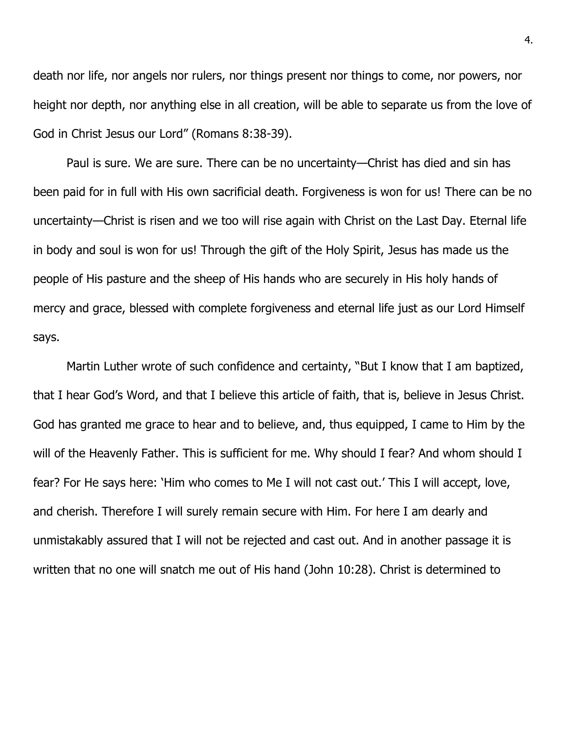death nor life, nor angels nor rulers, nor things present nor things to come, nor powers, nor height nor depth, nor anything else in all creation, will be able to separate us from the love of God in Christ Jesus our Lord" (Romans 8:38-39).

Paul is sure. We are sure. There can be no uncertainty—Christ has died and sin has been paid for in full with His own sacrificial death. Forgiveness is won for us! There can be no uncertainty—Christ is risen and we too will rise again with Christ on the Last Day. Eternal life in body and soul is won for us! Through the gift of the Holy Spirit, Jesus has made us the people of His pasture and the sheep of His hands who are securely in His holy hands of mercy and grace, blessed with complete forgiveness and eternal life just as our Lord Himself says.

Martin Luther wrote of such confidence and certainty, "But I know that I am baptized, that I hear God's Word, and that I believe this article of faith, that is, believe in Jesus Christ. God has granted me grace to hear and to believe, and, thus equipped, I came to Him by the will of the Heavenly Father. This is sufficient for me. Why should I fear? And whom should I fear? For He says here: 'Him who comes to Me I will not cast out.' This I will accept, love, and cherish. Therefore I will surely remain secure with Him. For here I am dearly and unmistakably assured that I will not be rejected and cast out. And in another passage it is written that no one will snatch me out of His hand (John 10:28). Christ is determined to